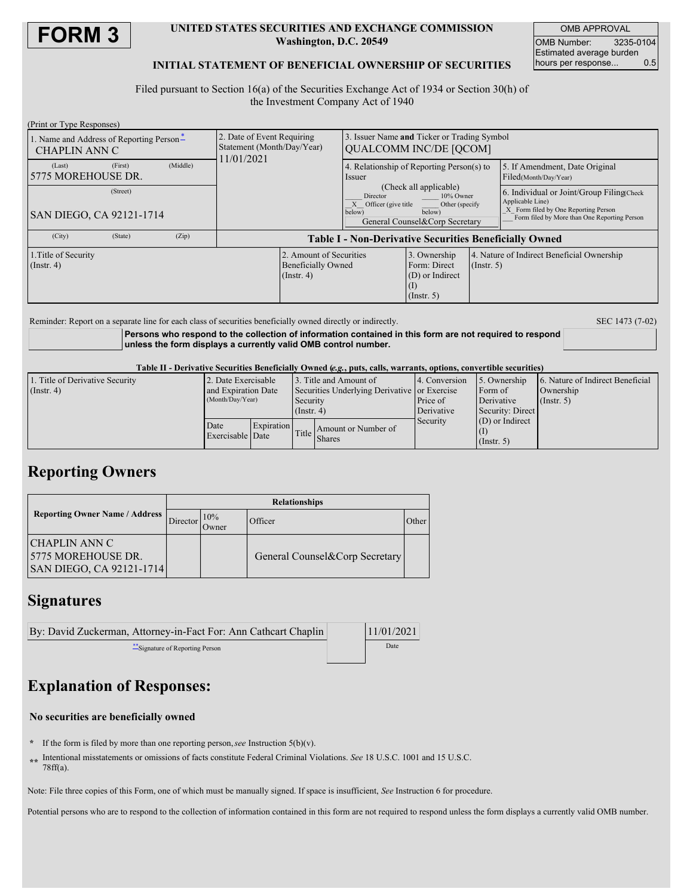

### **UNITED STATES SECURITIES AND EXCHANGE COMMISSION Washington, D.C. 20549**

OMB APPROVAL OMB Number: 3235-0104 Estimated average burden hours per response... 0.5

## **INITIAL STATEMENT OF BENEFICIAL OWNERSHIP OF SECURITIES**

Filed pursuant to Section 16(a) of the Securities Exchange Act of 1934 or Section 30(h) of the Investment Company Act of 1940

| (Print or Type Responses)                                        |                                                                       |                                                               |                                                                                                                                                |                                                     |                                                                            |                                                                                                                                                       |                                                         |
|------------------------------------------------------------------|-----------------------------------------------------------------------|---------------------------------------------------------------|------------------------------------------------------------------------------------------------------------------------------------------------|-----------------------------------------------------|----------------------------------------------------------------------------|-------------------------------------------------------------------------------------------------------------------------------------------------------|---------------------------------------------------------|
| 1. Name and Address of Reporting Person-<br><b>CHAPLIN ANN C</b> | 2. Date of Event Requiring<br>Statement (Month/Day/Year)<br>1/01/2021 |                                                               | Issuer Name and Ticker or Trading Symbol<br>OUALCOMM INC/DE [OCOM]                                                                             |                                                     |                                                                            |                                                                                                                                                       |                                                         |
| (First)<br>(Last)<br>15775 MOREHOUSE DR.                         | (Middle)                                                              |                                                               |                                                                                                                                                | 4. Relationship of Reporting Person(s) to<br>Issuer |                                                                            |                                                                                                                                                       | 5. If Amendment, Date Original<br>Filed(Month/Day/Year) |
| (Street)<br>SAN DIEGO, CA 92121-1714                             |                                                                       |                                                               | (Check all applicable)<br>Director<br>10% Owner<br>Officer (give title<br>Other (specify<br>below)<br>below)<br>General Counsel&Corp Secretary |                                                     |                                                                            | 6. Individual or Joint/Group Filing Check<br>Applicable Line)<br>X Form filed by One Reporting Person<br>Form filed by More than One Reporting Person |                                                         |
| (City)<br>(State)                                                | (Zip)                                                                 | <b>Table I - Non-Derivative Securities Beneficially Owned</b> |                                                                                                                                                |                                                     |                                                                            |                                                                                                                                                       |                                                         |
| 1. Title of Security<br>(Insert, 4)                              |                                                                       |                                                               | 2. Amount of Securities<br><b>Beneficially Owned</b><br>$($ Instr. 4 $)$                                                                       |                                                     | 3. Ownership<br>Form: Direct<br>(D) or Indirect<br>(1)<br>$($ Instr. 5 $)$ | $($ Instr. 5 $)$                                                                                                                                      | 4. Nature of Indirect Beneficial Ownership              |

Reminder: Report on a separate line for each class of securities beneficially owned directly or indirectly. SEC 1473 (7-02)

**Persons who respond to the collection of information contained in this form are not required to respond unless the form displays a currently valid OMB control number.**

Table II - Derivative Securities Beneficially Owned (e.g., puts, calls, warrants, options, convertible securities)

| 1. Title of Derivative Security | 2. Date Exercisable                     |            | Title and Amount of                          |                                                                     | 14. Conversion | 5. Ownership      | 6. Nature of Indirect Beneficial |
|---------------------------------|-----------------------------------------|------------|----------------------------------------------|---------------------------------------------------------------------|----------------|-------------------|----------------------------------|
| $($ Instr. 4 $)$                | and Expiration Date<br>(Month/Day/Year) |            | Securities Underlying Derivative or Exercise |                                                                     |                | Form of           | Ownership                        |
|                                 |                                         |            | Security                                     |                                                                     | Price of       | Derivative        | (Insert, 5)                      |
|                                 |                                         |            | $($ Instr. 4 $)$                             |                                                                     | Derivative     | Security: Direct  |                                  |
|                                 | Date                                    | Expiration |                                              |                                                                     | Security       | $(D)$ or Indirect |                                  |
|                                 | Exercisable Date                        |            |                                              | Amount or Number of<br>$\left \right $ Title $\left \right $ Shares |                |                   |                                  |
|                                 |                                         |            |                                              |                                                                     |                | $($ Instr. 5)     |                                  |

## **Reporting Owners**

|                                                                         | <b>Relationships</b> |               |                                |       |  |  |  |
|-------------------------------------------------------------------------|----------------------|---------------|--------------------------------|-------|--|--|--|
| <b>Reporting Owner Name / Address</b>                                   | Director             | 10%<br>.)wner | Officer                        | Other |  |  |  |
| <b>CHAPLIN ANN C</b><br>15775 MOREHOUSE DR.<br>SAN DIEGO, CA 92121-1714 |                      |               | General Counsel&Corp Secretary |       |  |  |  |

## **Signatures**

| 11/01/2021 |
|------------|
| Date       |
|            |

# **Explanation of Responses:**

#### **No securities are beneficially owned**

- **\*** If the form is filed by more than one reporting person,*see* Instruction 5(b)(v).
- **\*\*** Intentional misstatements or omissions of facts constitute Federal Criminal Violations. *See* 18 U.S.C. 1001 and 15 U.S.C. 78ff(a).

Note: File three copies of this Form, one of which must be manually signed. If space is insufficient, *See* Instruction 6 for procedure.

Potential persons who are to respond to the collection of information contained in this form are not required to respond unless the form displays a currently valid OMB number.